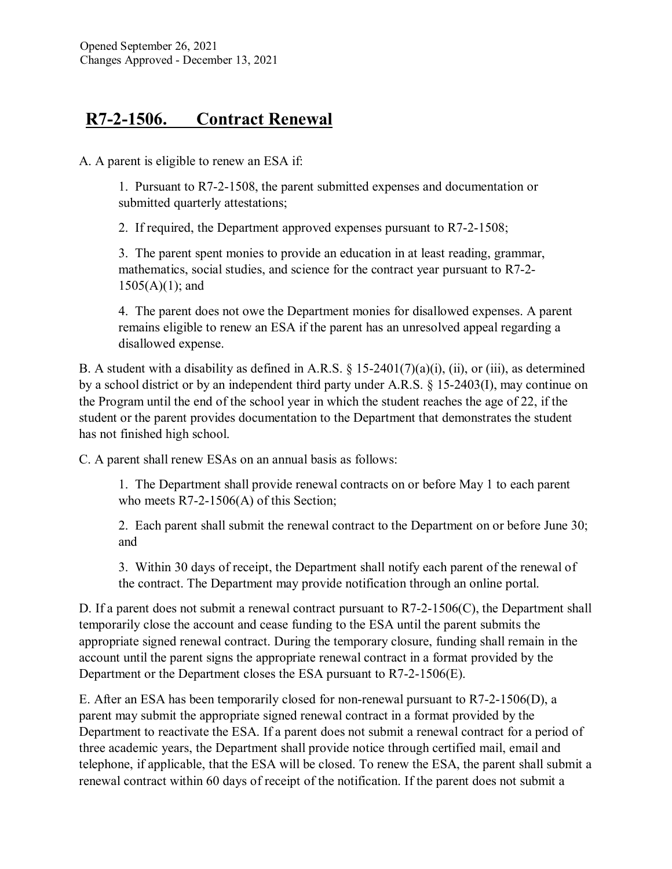## **R7-2-1506. Contract Renewal**

A. A parent is eligible to renew an ESA if:

1. Pursuant to R7-2-1508, the parent submitted expenses and documentation or submitted quarterly attestations;

2. If required, the Department approved expenses pursuant to R7-2-1508;

3. The parent spent monies to provide an education in at least reading, grammar, mathematics, social studies, and science for the contract year pursuant to R7-2-  $1505(A)(1)$ ; and

4. The parent does not owe the Department monies for disallowed expenses. A parent remains eligible to renew an ESA if the parent has an unresolved appeal regarding a disallowed expense.

B. A student with a disability as defined in A.R.S.  $\S$  15-2401(7)(a)(i), (ii), or (iii), as determined by a school district or by an independent third party under A.R.S. § 15-2403(I), may continue on the Program until the end of the school year in which the student reaches the age of 22, if the student or the parent provides documentation to the Department that demonstrates the student has not finished high school.

C. A parent shall renew ESAs on an annual basis as follows:

1. The Department shall provide renewal contracts on or before May 1 to each parent who meets R7-2-1506(A) of this Section;

2. Each parent shall submit the renewal contract to the Department on or before June 30; and

3. Within 30 days of receipt, the Department shall notify each parent of the renewal of the contract. The Department may provide notification through an online portal.

D. If a parent does not submit a renewal contract pursuant to R7-2-1506(C), the Department shall temporarily close the account and cease funding to the ESA until the parent submits the appropriate signed renewal contract. During the temporary closure, funding shall remain in the account until the parent signs the appropriate renewal contract in a format provided by the Department or the Department closes the ESA pursuant to R7-2-1506(E).

E. After an ESA has been temporarily closed for non-renewal pursuant to R7-2-1506(D), a parent may submit the appropriate signed renewal contract in a format provided by the Department to reactivate the ESA. If a parent does not submit a renewal contract for a period of three academic years, the Department shall provide notice through certified mail, email and telephone, if applicable, that the ESA will be closed. To renew the ESA, the parent shall submit a renewal contract within 60 days of receipt of the notification. If the parent does not submit a